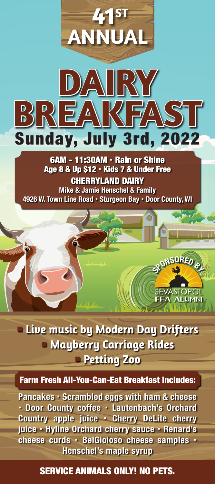

6AM - 11:30AM - Rain or Shine Age 8 & Up \$12 · Kids 7 & Under Free CHERRYLAND DAIRY **Mike & Jamie Henschel & Family 4926 W. Town Line Road Sturgeon Bay Door County, WI**



 **Live music by Modern Day Drifters Mayberry Carriage Rides Petting Zoo**

## Farm Fresh All-You-Can-Eat Breakfast Includes:

**Pancakes Scrambled eggs with ham & cheese Door County coffee Lautenbach's Orchard Country apple juice Cherry DeLite cherry juice Hyline Orchard cherry sauce Renard's cheese curds BelGioioso cheese samples Henschel's maple syrup**

## SERVICE ANIMALS ONLY! NO PETS.